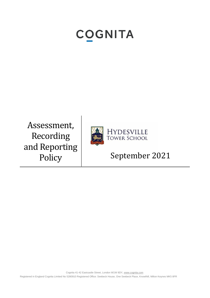# **COGNITA**

Assessment, Recording and Reporting



HYDESVILLE<br>TOWER SCHOOL

## Policy September 2021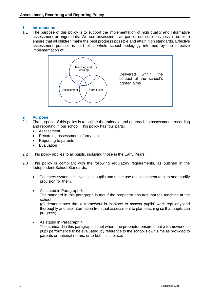#### **1 Introduction**

1.1 The purpose of this policy is to support the implementation of high quality and informative assessment arrangements. We see assessment as part of our core business in order to ensure that all children make the best progress possible and attain high standards. Effective assessment practice is part of a whole school pedagogy informed by the effective implementation of:



#### **2 Purpose**

- 2.1 The purpose of this policy is to outline the rationale and approach to assessment, recording and reporting in our school. This policy has four parts:
	- **Assessment**
	- Recording assessment information
	- Reporting to parents
	- Evaluation
- 2.2 This policy applies to all pupils, including those in the Early Years.
- 2.3 This policy is compliant with the following regulatory requirements, as outlined in the Independent School Standards.
	- Teachers systematically assess pupils and make use of assessment to plan and modify provision for them.
	- As stated in Paragraph 3: The standard in this paragraph is met if the proprietor ensures that the teaching at the school (g) demonstrates that a framework is in place to assess pupils' work regularly and thoroughly and use information from that assessment to plan teaching so that pupils can progress;
	- As stated in Paragraph 4: The standard in this paragraph is met where the proprietor ensures that a framework for pupil performance to be evaluated, by reference to the school's own aims as provided to parents or national norms, or to both, is in place.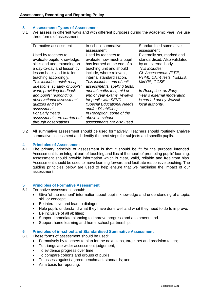#### **3 Assessment: Types of Assessment**

3.1 We assess in different ways and with different purposes during the academic year. We use three forms of assessment:

| Formative assessment                                                                                                                                                                                                                                                                                                                                                                                                                       | In-school summative                                                                                                                                                                                                                                                                                                                                                                                                                                        | Standardised summative                                                                                                                                                                                                                                                                |
|--------------------------------------------------------------------------------------------------------------------------------------------------------------------------------------------------------------------------------------------------------------------------------------------------------------------------------------------------------------------------------------------------------------------------------------------|------------------------------------------------------------------------------------------------------------------------------------------------------------------------------------------------------------------------------------------------------------------------------------------------------------------------------------------------------------------------------------------------------------------------------------------------------------|---------------------------------------------------------------------------------------------------------------------------------------------------------------------------------------------------------------------------------------------------------------------------------------|
|                                                                                                                                                                                                                                                                                                                                                                                                                                            | assessment                                                                                                                                                                                                                                                                                                                                                                                                                                                 | assessment                                                                                                                                                                                                                                                                            |
| Used by teachers to<br>evaluate pupils' knowledge,<br>skills and understanding on<br>a day-to-day and lesson by<br>lesson basis and to tailor<br>teaching accordingly.<br>This includes: quick recap<br>questions, scrutiny of pupils'<br>work, providing feedback<br>and pupils' responding,<br>observational assessment,<br>quizzes and self-<br>assessment.<br>For Early Years,<br>assessments are carried out<br>through observations. | Used by teachers to<br>evaluate how much a pupil<br>has learned at the end of a<br>teaching unit and should<br>include, where relevant,<br>internal standardisation.<br>This includes: end of unit<br>assessments, spelling tests,<br>mental maths test, mid or<br>end of year exams, reviews<br>for pupils with SEND<br>(Special Educational Needs<br>and/or Disabilities).<br>In Reception, some of the<br>above in-school<br>assessments are also used. | Externally set, marked and<br>standardised. Also validated<br>by an external body.<br>This includes:<br>GL Assessments (PTiE,<br>PTIM), CAT4 tests, YELLIS,<br>MidYIS, GCSE.<br>In Reception, an Early<br>Year's external moderation<br>is carried out by Walsall<br>local authority. |

3.2 All summative assessment should be used formatively. Teachers should routinely analyse summative assessment and identify the next steps for subjects and specific pupils.

### **4 Principles of Assessment**

The primary principle of assessment is that it should be fit for the purpose intended. Assessment is an integral part of teaching and lies at the heart of promoting pupils' learning. Assessment should provide information which is clear, valid, reliable and free from bias. Assessment should be used to move learning forward and facilitate responsive teaching. The guiding principles below are used to help ensure that we maximise the impact of our assessment.

#### **5 Principles of Formative Assessment**

- 5.1 Formative assessment should:
	- Give 'of the moment' information about pupils' knowledge and understanding of a topic, skill or concept;
	- Be interactive and lead to dialogue;
	- Help pupils understand what they have done well and what they need to do to improve;
	- Be inclusive of all abilities;
	- Support immediate planning to improve progress and attainment; and
	- Support home learning and home-school partnership.

#### **6 Principles of in-school and Standardised Summative Assessment**

- 6.1 These forms of assessment should be used:
	- Formatively by teachers to plan for the next steps, target set and precision teach;
	- To triangulate wider assessment judgement;
	- To evidence progress over time;
	- To compare cohorts and groups of pupils;
	- To assess against agreed benchmark standards; and
	- As a basis for reporting.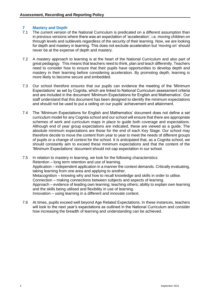#### **7 Mastery and Depth**

- 7.1 The current version of the National Curriculum is predicated on a different assumption than in previous versions where there was an expectation of 'acceleration', i.e. moving children on through levels and sublevels regardless of the security of their learning. Now, we are looking for depth and mastery in learning. This does not exclude acceleration but 'moving on' should never be at the expense of depth and mastery.
- 7.2 A mastery approach to learning is at the heart of the National Curriculum and also part of great pedagogy. This means that teachers need to think, plan and teach differently. Teachers need to consider how to ensure that their pupils have opportunities to develop depth and mastery in their learning before considering acceleration. By promoting depth, learning is more likely to become secure and embedded.
- 7.3 Our school therefore ensures that our pupils can evidence the meeting of the 'Minimum Expectations' as set by Cognita, which are linked to National Curriculum assessment criteria and are included in the document 'Minimum Expectations for English and Mathematics'. Our staff understand that this document has been designed to identify the minimum expectations and should not be used to put a ceiling on our pupils' achievement and attainment.
- 7.4 The 'Minimum Expectations for English and Mathematics' document does not define a set curriculum model for any Cognita school and our school will ensure that there are appropriate schemes of work and curriculum maps in place to guide both coverage and expectations. Although end of year group expectations are indicated, these are viewed as a guide. The absolute minimum expectations are those for the end of each Key Stage. Our school may therefore decide to move the content from year to year to meet the needs of different groups of pupils or a change of context for the school. It is anticipated that, as a Cognita school, we should constantly aim to exceed these minimum expectations and that the content of the 'Minimum Expectations' document should not cap expectation in our school.
- 7.5 In relation to mastery in learning, we look for the following characteristics: Retention – long term retention and use of learning. Application – independent application in a manner the context demands. Critically evaluating, taking learning from one area and applying to another. Metacognition – knowing why and how to recall knowledge and skills in order to utilise. Connection – making connections between subjects and aspects of learning. Approach – evidence of leading own learning; teaching others; ability to explain own learning and the skills being utilised and flexibility in use of learning. Innovation – using learning in a different and innovate context.
- 7.6 At times, pupils exceed well beyond Age Related Expectations. In these instances, teachers will look to the next year's expectations as outlined in the National Curriculum and consider how increasing the breadth of learning and understanding can be achieved.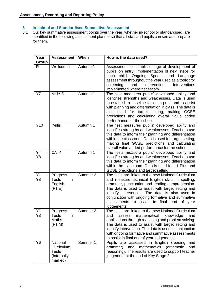#### **8 In-school and Standardised Summative Assessment**

8.1 Our key summative assessment points over the year, whether in-school or standardised, are identified in the following assessment planner so that all staff and pupils can see and prepare for them.

| Year<br><b>Group</b>       | <b>Assessment</b>                                                | When     | How is the data used?                                                                                                                                                                                                                                                                                                                                                                 |
|----------------------------|------------------------------------------------------------------|----------|---------------------------------------------------------------------------------------------------------------------------------------------------------------------------------------------------------------------------------------------------------------------------------------------------------------------------------------------------------------------------------------|
| $\mathsf{R}$               | Wellcomm                                                         | Autumn 1 | Assessment to establish stage of development of<br>pupils on entry. Implementation of next steps for<br>Ongoing Speech and Language<br>child.<br>each<br>assessment throughout the year used as a toolkit for<br>and<br>intervention.<br>Interventions<br>screening<br>implemented where necessary.                                                                                   |
| <b>Y7</b>                  | <b>MidYIS</b>                                                    | Autumn 1 | The test measures pupils' developed ability and<br>identifies strengths and weaknesses. Data is used<br>to establish a baseline for each pupil and to assist<br>with planning and differentiation in class. The data is<br>also used for target setting, making<br><b>GCSE</b><br>predictions and calculating overall value added<br>performance for the school.                      |
| Y10                        | Yellis                                                           | Autumn 1 | The test measures pupils' developed ability and<br>identifies strengths and weaknesses. Teachers use<br>this data to inform their planning and differentiation<br>within the classroom. Data is used for target setting,<br>making final GCSE predictions and calculating<br>overall value added performance for the school.                                                          |
| Y4<br>$\blacksquare$<br>Y8 | CAT4                                                             | Autumn 1 | The tests measure pupils' developed ability and<br>identifies strengths and weaknesses. Teachers use<br>this data to inform their planning and differentiation<br>within the classroom. Data is used for 11 Plus and<br>GCSE predictions and target setting.                                                                                                                          |
| Y1<br>Y8                   | Progress<br><b>Tests</b><br>in.<br>English<br>(PTiE)             | Summer 2 | The tests are linked to the new National Curriculum<br>and measure technical English skills in spelling,<br>grammar, punctuation and reading comprehension.<br>The data is used to assist with target setting and<br>identify intervention. The data is also used in<br>conjunction with ongoing formative and summative<br>assessments to assist in final end of year<br>judgements. |
| Y <sub>1</sub><br>Y8       | Progress<br><b>Tests</b><br>in<br><b>Maths</b><br>(PTiM)         | Summer 2 | The tests are linked to the new National Curriculum<br>mathematical<br>knowledge<br>and<br>and<br>assess<br>applications through reasoning and problem solving.<br>The data is used to assist with target setting and<br>identify intervention. The data is used in conjunction<br>with ongoing formative and summative assessments<br>to assist in final end of year judgements.     |
| Y <sub>6</sub>             | National<br>Curriculum<br><b>Tests</b><br>(Internally<br>marked) | Summer 1 | Pupils are assessed in English (reading<br>and<br>and<br>(arithmetic<br>grammar)<br>mathematics<br>and<br>reasoning). The results are used to support teacher<br>judgement at the end of Key Stage 2.                                                                                                                                                                                 |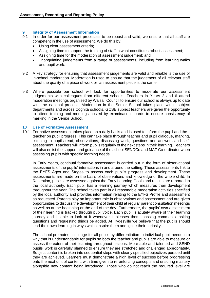#### **9 Integrity of Assessment Information**

- 9.1 In order for our assessment processes to be robust and valid, we ensure that all staff are competent in the use of assessment. We do this by:
	- Using clear assessment criteria;
	- Assigning time to support the training of staff in what constitutes robust assessment;
	- Assigning time for the moderation of assessment judgement; and
	- Triangulating judgements from a range of assessments, including from learning walks and pupil work.
- 9.2 A key strategy for ensuring that assessment judgements are valid and reliable is the use of in-school moderation. Moderation is used to ensure that the judgement of all relevant staff about the quality of a piece of work or an assessment piece is the same.
- 9.3 Where possible our school will look for opportunities to moderate our assessment judgements with colleagues from different schools. Teachers in Years 2 and 6 attend moderation meetings organised by Walsall Council to ensure our school is always up to date with the national process. Moderation in the Senior School takes place within subject departments and across Cognita schools. GCSE subject teachers are given the opportunity to attend training and meetings hosted by examination boards to ensure consistency of marking in the Senior School.

#### **10 Use of Formative Assessment**

10.1 Formative assessment takes place on a daily basis and is used to inform the pupil and the teacher on pupil progress. This can take place through teacher and pupil dialogue, marking, listening to pupils read, observations, discussing work, questions and answers and selfassessment. Teachers will inform pupils regularly of the next steps in their learning. Teachers will also enlist the support and guidance of the school SENDCo and MAT Co-ordinator when assessing pupils with specific learning needs.

In Early Years, continual formative assessment is carried out in the form of observational assessments of the pupils' interactions in and around the setting. These assessments link to the EYFS Ages and Stages to assess each pupil's progress and development. These assessments are made on the basis of observations and knowledge of the whole child. In Reception, pupils are assessed against the Early Learning Goals and results are reported to the local authority. Each pupil has a learning journey which measures their development throughout the year. The school takes part in all reasonable moderation activities specified by the local authority and provides information relating to the EYFS Profile and assessment as requested. Parents play an important role in observations and assessment and are given opportunities to discuss the development of their child at regular parent consultation meetings as well as at the beginning or the end of the day. Furthermore, the pupils' own assessment of their learning is tracked through pupil voice. Each pupil is acutely aware of their learning journey and is able to look at it whenever it pleases them, passing comments, asking questions and requesting things be added. At Hydesville we believe that the pupils should lead their own learning in ways which inspire them and ignite their curiosity.

The school promotes challenge for all pupils by differentiation to individual pupil needs in a way that is understandable for pupils so both the teacher and pupils are able to measure or assess the extent of their learning throughout lessons. More able and talented and SEND pupils' work is carefully planned to ensure they are stretched and challenged appropriately. Subject content is broken into sequential steps with clearly specified objectives pursued until they are achieved. Learners must demonstrate a high level of success before progressing onto the next unit of content, with time given to re-enforcing concepts and ensuring mastery alongside new content being introduced. Those who do not reach the required level are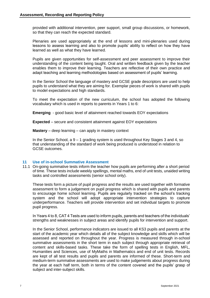provided with additional intervention, peer support, small group discussions, or homework, so that they can reach the expected standard.

Plenaries are used appropriately at the end of lessons and mini-plenaries used during lessons to assess learning and also to promote pupils' ability to reflect on how they have learned as well as what they have learned.

Pupils are given opportunities for self-assessment and peer assessment to improve their understanding of the content being taught. Oral and written feedback given by the teacher enables them to improve their learning. Teachers are reflective of their own practice and adapt teaching and learning methodologies based on assessment of pupils' learning.

In the Senior School the language of mastery and GCSE grade descriptors are used to help pupils to understand what they are aiming for. Exemplar pieces of work is shared with pupils to model expectations and high standards.

To meet the expectation of the new curriculum, the school has adopted the following vocabulary which is used in reports to parents in Years 1 to 6:

**Emerging** - good basic level of attainment reached towards EOY expectations

**Expected** – secure and consistent attainment against EOY expectations

**Mastery** – deep learning – can apply in mastery context

In the Senior School, a  $9 - 1$  grading system is used throughout Key Stages 3 and 4, so that understanding of the standard of work being produced is understood in relation to GCSE outcomes.

#### **11 Use of in-school Summative Assessment**

11.1 On-going summative tests inform the teacher how pupils are performing after a short period of time. These tests include weekly spellings, mental maths, end of unit tests, unaided writing tasks and controlled assessments (senior school only).

These tests form a picture of pupil progress and the results are used together with formative assessment to form a judgement on pupil progress which is shared with pupils and parents to encourage home school learning. Pupils are regularly tracked on the school's tracking system and the school will adopt appropriate intervention strategies to capture underperformance. Teachers will provide intervention and set individual targets to promote pupil progress.

In Years 4 to 8, CAT 4 Tests are used to inform pupils, parents and teachers of the individuals' strengths and weaknesses in subject areas and identify pupils for intervention and support.

In the Senior School, performance indicators are issued to all KS3 pupils and parents at the start of the academic year which details all of the subject knowledge and skills which will be assessed and reported on throughout the year. Progress is measured through in-school summative assessments in the short term in each subject through appropriate retrieval of content and skills-based tasks. These take the form of spelling tests in English, MFL, Humanities and Sciences, use of MyMaths in Mathematics and end of unit tests. Records are kept of all test results and pupils and parents are informed of these. Short-term and medium-term summative assessments are used to make judgements about progress during the year at each half term, both in terms of the content covered and the pupils' grasp of subject and inter-subject skills.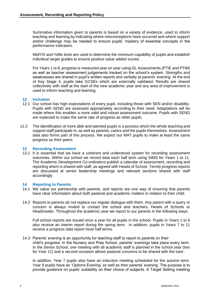Summative information given to parents is based on a variety of evidence, used to inform teaching and learning by indicating where misconceptions have occurred and where support and/or challenge may be needed to ensure pupils' mastery of essential concepts in the performance indicators.

MidYIS and Yellis tests are used to determine the minimum capability of pupils and establish individual target grades to ensure positive value added scores.

For Years 1 to 8, progress is measured year on year using GL Assessments (PTiE and PTiM) as well as teacher assessment judgements tracked on the school's system. Strengths and weaknesses are shared in pupil's written reports and verbally at parents' evening. At the end of Key Stage 4, pupils take GCSEs which are externally validated. Results are shared collectively with staff at the start of the new academic year and any area of improvement is used to inform teaching and learning.

#### **12 Inclusion**

- 12.1 Our school has high expectations of every pupil, including those with SEN and/or disability. Pupils with SEND are assessed appropriately according to their need. Adaptations will be made where this enables a more valid and robust assessment outcome. Pupils with SEND are expected to make the same rate of progress as other pupils.
- 12.2 The identification of more able and talented pupils is a process which the whole teaching and support staff participate in, as well as parents, carers and the pupils themselves. Assessment data also forms part of this process. We expect our MAT pupils to make at least the same progress as their peers.

#### **13 Recording Assessment**

13.1 It is essential that we have a coherent and understood system for recording assessment outcomes. Within our school we record data each half term using SIMS for Years 1 to 11. The Academic Development Co-ordinators publish a calendar of assessment, recording and reporting which is shared with staff, as agreed with Heads of School. Termly progress reports are discussed at senior leadership meetings and relevant sections shared with staff accordingly.

#### **14 Reporting to Parents**

- 14.1 We value our partnership with parents, and reports are one way of ensuring that parents have clear information about both pastoral and academic matters in relation to their child.
- 14.2 Reports to parents do not replace our regular dialogue with them. Any parent with a query or concern is always invited to contact the school and teachers, Heads of Schools or Headmaster. Throughout the academic year we report to our parents in the following ways:

Full school reports are issued once a year for all pupils in the school. Pupils in Years 1 to 6 also receive an interim report during the spring term. In addition, pupils in Years 7 to 11 receive a progress data report most half terms.

14.3 Parents' evening is an opportunity for teaching staff to report to parents on their child's progress. In the Nursery and Prep School, parents' evenings take place every term. In the Senior School, one meeting with all academic staff is planned in the school year (two for Year 11) and a second occasion allows pastoral concerns to be shared with the tutor.

In addition, Year 7 pupils also have an induction meeting scheduled for the autumn term. Year 9 pupils have an 'Options Evening' as well as their parents' evening. The purpose is to provide guidance on pupils' suitability on their choice of subjects. A Target Setting meeting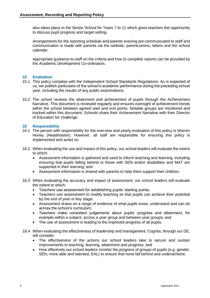also takes place in the Senior School for Years 7 to 11 which gives teachers the opportunity to discuss pupil progress and target setting.

Arrangements for the reporting schedule and parents evening are communicated to staff and communication is made with parents via the website, parentcomms, letters and the school calendar.

Appropriate guidance to staff on the criteria and how to complete reports can be provided by the Academic Development Co-ordinators.

#### **15 Evaluation**

- 15.1 This policy complies with the Independent School Standards Regulations. As is expected of us, we publish particulars of the school's academic performance during the preceding school year, including the results of any public examinations.
- 15.2 The school reviews the attainment and achievement of pupils through the Achievement Narrative. This document is reviewed regularly and ensures oversight of achievement trends within the school between agreed start and end points. Notable groups are monitored and tracked within this document. Schools share their Achievement Narrative with their Director of Education for challenge.

#### **16 Responsibility**

- 16.1 The person with responsibility for the overview and yearly evaluation of this policy is Warren Honey (Headmaster). However, all staff are responsible for ensuring this policy is implemented and acted on.
- 16.2 When evaluating the use and impact of this policy, our school leaders will evaluate the extent to which:
	- Assessment information is gathered and used to inform teaching and learning, including ensuring that pupils falling behind or those with SEN and/or disabilities and MAT are supported in their learning; and
	- Assessment information is shared with parents to help them support their children.
- 16.3 When evaluating the accuracy and impact of assessment, our school leaders will evaluate the extent to which:
	- Teachers use assessment for establishing pupils' starting points;
	- Teachers use assessment to modify teaching so that pupils can achieve their potential by the end of year or key stage;
	- Assessment draws on a range of evidence of what pupils know, understand and can do across the school's curriculum;
	- Teachers make consistent judgements about pupils' progress and attainment, for example within a subject, across a year group and between year groups; and
	- The use of assessment is leading to the improved progress of all pupils.
- 16.4 When evaluating the effectiveness of leadership and management, Cognita, through our DE, will consider:
	- The effectiveness of the actions our school leaders take to secure and sustain improvements to teaching, learning, attainment and progress; and
	- How effectively our school leaders monitor the progress of groups of pupils (e.g. gender, SEN, more able and talented, EAL) to ensure that none fall behind and underachieve.